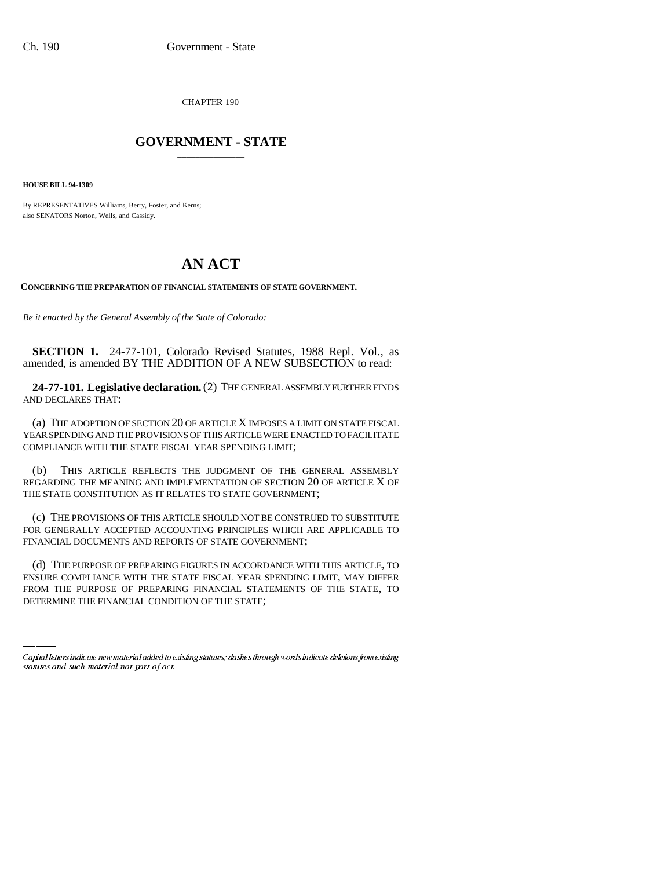CHAPTER 190

## \_\_\_\_\_\_\_\_\_\_\_\_\_\_\_ **GOVERNMENT - STATE** \_\_\_\_\_\_\_\_\_\_\_\_\_\_\_

**HOUSE BILL 94-1309**

By REPRESENTATIVES Williams, Berry, Foster, and Kerns; also SENATORS Norton, Wells, and Cassidy.

## **AN ACT**

**CONCERNING THE PREPARATION OF FINANCIAL STATEMENTS OF STATE GOVERNMENT.**

*Be it enacted by the General Assembly of the State of Colorado:*

**SECTION 1.** 24-77-101, Colorado Revised Statutes, 1988 Repl. Vol., as amended, is amended BY THE ADDITION OF A NEW SUBSECTION to read:

**24-77-101. Legislative declaration.** (2) THE GENERAL ASSEMBLY FURTHER FINDS AND DECLARES THAT:

(a) THE ADOPTION OF SECTION 20 OF ARTICLE X IMPOSES A LIMIT ON STATE FISCAL YEAR SPENDING AND THE PROVISIONS OF THIS ARTICLE WERE ENACTED TO FACILITATE COMPLIANCE WITH THE STATE FISCAL YEAR SPENDING LIMIT;

(b) THIS ARTICLE REFLECTS THE JUDGMENT OF THE GENERAL ASSEMBLY REGARDING THE MEANING AND IMPLEMENTATION OF SECTION 20 OF ARTICLE X OF THE STATE CONSTITUTION AS IT RELATES TO STATE GOVERNMENT;

(c) THE PROVISIONS OF THIS ARTICLE SHOULD NOT BE CONSTRUED TO SUBSTITUTE FOR GENERALLY ACCEPTED ACCOUNTING PRINCIPLES WHICH ARE APPLICABLE TO FINANCIAL DOCUMENTS AND REPORTS OF STATE GOVERNMENT;

(d) THE PURPOSE OF PREPARING FIGURES IN ACCORDANCE WITH THIS ARTICLE, TO ENSURE COMPLIANCE WITH THE STATE FISCAL YEAR SPENDING LIMIT, MAY DIFFER FROM THE PURPOSE OF PREPARING FINANCIAL STATEMENTS OF THE STATE, TO DETERMINE THE FINANCIAL CONDITION OF THE STATE;

Capital letters indicate new material added to existing statutes; dashes through words indicate deletions from existing statutes and such material not part of act.